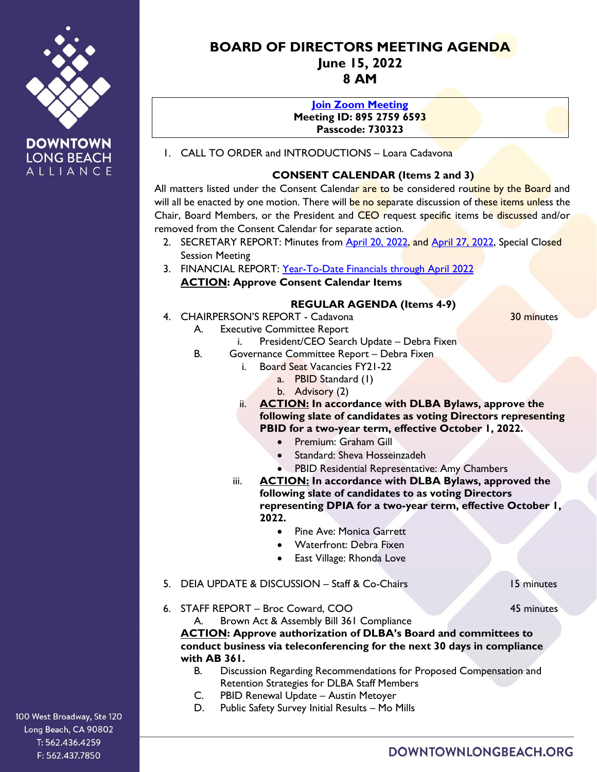



# **BOARD OF DIRECTORS MEETING AGENDA June 15, 2022 8 AM**

#### **[Join Zoom Meeting](https://us02web.zoom.us/j/89527596593?pwd=MUVuUWx3SUVRMTVYam1Mb3YxME8xQT09)**

**Meeting ID: 895 2759 6593 Passcode: 730323**

1. CALL TO ORDER and INTRODUCTIONS – Loara Cadavona

### **CONSENT CALENDAR (Items 2 and 3)**

All matters listed under the Consent Calendar are to be considered routine by the Board and will all be enacted by one motion. There will be no separate discussion of these items unless the Chair, Board Members, or the President and CEO request specific items be discussed and/or removed from the Consent Calendar for separate action.

- 2. SECRETARY REPORT: Minutes from **April 20, 2022, and April 27, 2022**, Special Closed Session Meeting
- 3. FINANCIAL REPORT: [Year-To-Date Financials](https://downtownlongbeach.org/wp-content/uploads/DLBA-Financial-Package-April-2022.pdf) through April 2022 **ACTION: Approve Consent Calendar Items**

### **REGULAR AGENDA (Items 4-9)**

4. CHAIRPERSON'S REPORT - Cadavona 30 minutes

A. Executive Committee Report

- i. President/CEO Search Update Debra Fixen
- B. Governance Committee Report Debra Fixen
	- i. Board Seat Vacancies FY21-22
		- a. PBID Standard (1)
		- b. Advisory (2)
	- ii. **ACTION: In accordance with DLBA Bylaws, approve the following slate of candidates as voting Directors representing PBID for a two-year term, effective October 1, 2022.** 
		- Premium: Graham Gill
		- Standard: Sheva Hosseinzadeh
		- PBID Residential Representative: Amy Chambers
	- iii. **ACTION: In accordance with DLBA Bylaws, approved the following slate of candidates to as voting Directors representing DPIA for a two-year term, effective October 1, 2022.**
		- Pine Ave: Monica Garrett
		- Waterfront: Debra Fixen
		- East Village: Rhonda Love
- 5. DEIA UPDATE & DISCUSSION Staff & Co-Chairs 15 minutes

6. STAFF REPORT – Broc Coward, COO 45 minutes

A. Brown Act & Assembly Bill 361 Compliance **ACTION: Approve authorization of DLBA's Board and committees to conduct business via teleconferencing for the next 30 days in compliance with AB 361.**

- B. Discussion Regarding Recommendations for Proposed Compensation and Retention Strategies for DLBA Staff Members
- C. PBID Renewal Update Austin Metoyer
- D. Public Safety Survey Initial Results Mo Mills

100 West Broadway, Ste 120 Long Beach, CA 90802 T: 562.436.4259 F: 562.437.7850

# DOWNTOWNLONGBEACH.ORG